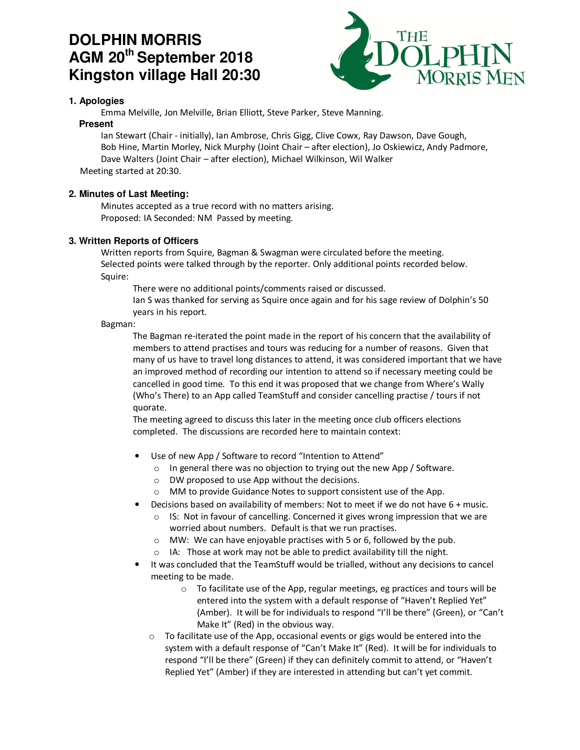# **DOLPHIN MORRIS AGM 20th September 2018 Kingston village Hall 20:30**



## **1. Apologies**

Emma Melville, Jon Melville, Brian Elliott, Steve Parker, Steve Manning.

## **Present**

Ian Stewart (Chair - initially), Ian Ambrose, Chris Gigg, Clive Cowx, Ray Dawson, Dave Gough, Bob Hine, Martin Morley, Nick Murphy (Joint Chair – after election), Jo Oskiewicz, Andy Padmore, Dave Walters (Joint Chair – after election), Michael Wilkinson, Wil Walker Meeting started at 20:30.

## **2. Minutes of Last Meeting:**

Minutes accepted as a true record with no matters arising. Proposed: IA Seconded: NM Passed by meeting.

## **3. Written Reports of Officers**

Written reports from Squire, Bagman & Swagman were circulated before the meeting. Selected points were talked through by the reporter. Only additional points recorded below. Squire:

There were no additional points/comments raised or discussed.

Ian S was thanked for serving as Squire once again and for his sage review of Dolphin's 50 years in his report.

## Bagman:

The Bagman re-iterated the point made in the report of his concern that the availability of members to attend practises and tours was reducing for a number of reasons. Given that many of us have to travel long distances to attend, it was considered important that we have an improved method of recording our intention to attend so if necessary meeting could be cancelled in good time. To this end it was proposed that we change from Where's Wally (Who's There) to an App called TeamStuff and consider cancelling practise / tours if not quorate.

The meeting agreed to discuss this later in the meeting once club officers elections completed. The discussions are recorded here to maintain context:

- Use of new App / Software to record "Intention to Attend"
	- o In general there was no objection to trying out the new App / Software.
	- o DW proposed to use App without the decisions.
	- MM to provide Guidance Notes to support consistent use of the App.
- Decisions based on availability of members: Not to meet if we do not have 6 + music.
	- $\circ$  IS: Not in favour of cancelling. Concerned it gives wrong impression that we are worried about numbers. Default is that we run practises.
	- o MW: We can have enjoyable practises with 5 or 6, followed by the pub.
	- o IA: Those at work may not be able to predict availability till the night.
- It was concluded that the TeamStuff would be trialled, without any decisions to cancel meeting to be made.
	- o To facilitate use of the App, regular meetings, eg practices and tours will be entered into the system with a default response of "Haven't Replied Yet" (Amber). It will be for individuals to respond "I'll be there" (Green), or "Can't Make It" (Red) in the obvious way.
	- $\circ$  To facilitate use of the App, occasional events or gigs would be entered into the system with a default response of "Can't Make It" (Red). It will be for individuals to respond "I'll be there" (Green) if they can definitely commit to attend, or "Haven't Replied Yet" (Amber) if they are interested in attending but can't yet commit.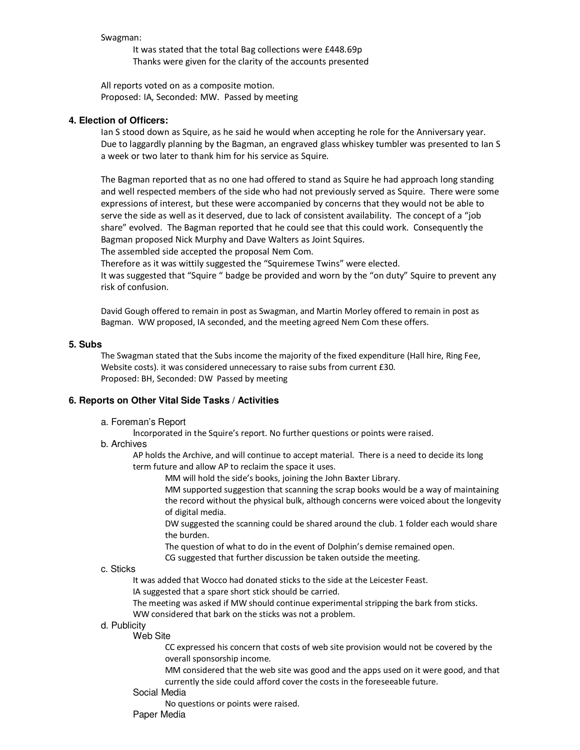#### Swagman:

It was stated that the total Bag collections were £448.69p Thanks were given for the clarity of the accounts presented

All reports voted on as a composite motion. Proposed: IA, Seconded: MW. Passed by meeting

#### **4. Election of Officers:**

Ian S stood down as Squire, as he said he would when accepting he role for the Anniversary year. Due to laggardly planning by the Bagman, an engraved glass whiskey tumbler was presented to Ian S a week or two later to thank him for his service as Squire.

The Bagman reported that as no one had offered to stand as Squire he had approach long standing and well respected members of the side who had not previously served as Squire. There were some expressions of interest, but these were accompanied by concerns that they would not be able to serve the side as well as it deserved, due to lack of consistent availability. The concept of a "job share" evolved. The Bagman reported that he could see that this could work. Consequently the Bagman proposed Nick Murphy and Dave Walters as Joint Squires.

The assembled side accepted the proposal Nem Com.

Therefore as it was wittily suggested the "Squiremese Twins" were elected.

It was suggested that "Squire " badge be provided and worn by the "on duty" Squire to prevent any risk of confusion.

David Gough offered to remain in post as Swagman, and Martin Morley offered to remain in post as Bagman. WW proposed, IA seconded, and the meeting agreed Nem Com these offers.

#### **5. Subs**

The Swagman stated that the Subs income the majority of the fixed expenditure (Hall hire, Ring Fee, Website costs). it was considered unnecessary to raise subs from current £30. Proposed: BH, Seconded: DW Passed by meeting

#### **6. Reports on Other Vital Side Tasks / Activities**

a. Foreman's Report

Incorporated in the Squire's report. No further questions or points were raised.

#### b. Archives

AP holds the Archive, and will continue to accept material. There is a need to decide its long term future and allow AP to reclaim the space it uses.

MM will hold the side's books, joining the John Baxter Library.

MM supported suggestion that scanning the scrap books would be a way of maintaining the record without the physical bulk, although concerns were voiced about the longevity of digital media.

DW suggested the scanning could be shared around the club. 1 folder each would share the burden.

The question of what to do in the event of Dolphin's demise remained open.

CG suggested that further discussion be taken outside the meeting.

## c. Sticks

It was added that Wocco had donated sticks to the side at the Leicester Feast.

IA suggested that a spare short stick should be carried.

The meeting was asked if MW should continue experimental stripping the bark from sticks.

WW considered that bark on the sticks was not a problem.

## d. Publicity

Web Site

CC expressed his concern that costs of web site provision would not be covered by the overall sponsorship income.

MM considered that the web site was good and the apps used on it were good, and that currently the side could afford cover the costs in the foreseeable future.

#### Social Media

No questions or points were raised.

Paper Media